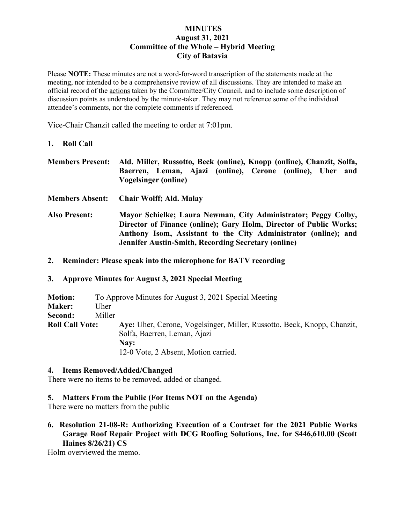### **MINUTES August 31, 2021 Committee of the Whole – Hybrid Meeting City of Batavia**

Please **NOTE:** These minutes are not a word-for-word transcription of the statements made at the meeting, nor intended to be a comprehensive review of all discussions. They are intended to make an official record of the actions taken by the Committee/City Council, and to include some description of discussion points as understood by the minute-taker. They may not reference some of the individual attendee's comments, nor the complete comments if referenced.

Vice-Chair Chanzit called the meeting to order at 7:01pm.

### **1. Roll Call**

**Members Present: Ald. Miller, Russotto, Beck (online), Knopp (online), Chanzit, Solfa, Baerren, Leman, Ajazi (online), Cerone (online), Uher and Vogelsinger (online)**

**Members Absent: Chair Wolff; Ald. Malay**

- **Also Present: Mayor Schielke; Laura Newman, City Administrator; Peggy Colby, Director of Finance (online); Gary Holm, Director of Public Works; Anthony Isom, Assistant to the City Administrator (online); and Jennifer Austin-Smith, Recording Secretary (online)**
- **2. Reminder: Please speak into the microphone for BATV recording**

### **3. Approve Minutes for August 3, 2021 Special Meeting**

| <b>Motion:</b>         |        | To Approve Minutes for August 3, 2021 Special Meeting                   |
|------------------------|--------|-------------------------------------------------------------------------|
| <b>Maker:</b>          | Uher   |                                                                         |
| Second:                | Miller |                                                                         |
| <b>Roll Call Vote:</b> |        | Aye: Uher, Cerone, Vogelsinger, Miller, Russotto, Beck, Knopp, Chanzit, |
|                        |        | Solfa, Baerren, Leman, Ajazi                                            |
|                        |        | Nay:                                                                    |
|                        |        | 12-0 Vote, 2 Absent, Motion carried.                                    |

#### **4. Items Removed/Added/Changed**

There were no items to be removed, added or changed.

#### **5. Matters From the Public (For Items NOT on the Agenda)**

There were no matters from the public

**6. Resolution 21-08-R: Authorizing Execution of a Contract for the 2021 Public Works Garage Roof Repair Project with DCG Roofing Solutions, Inc. for \$446,610.00 (Scott Haines 8/26/21) CS**

Holm overviewed the memo.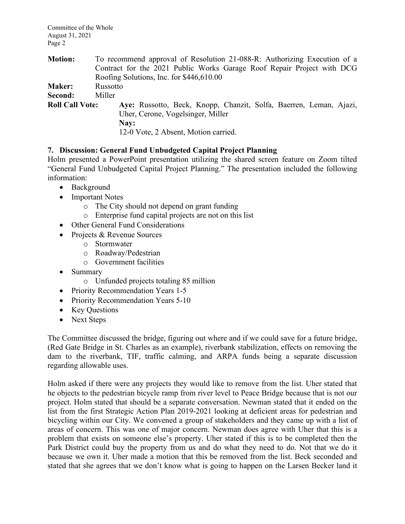Committee of the Whole August 31, 2021 Page 2

| <b>Motion:</b>         | To recommend approval of Resolution 21-088-R: Authorizing Execution of a |
|------------------------|--------------------------------------------------------------------------|
|                        | Contract for the 2021 Public Works Garage Roof Repair Project with DCG   |
|                        | Roofing Solutions, Inc. for \$446,610.00                                 |
| <b>Maker:</b>          | Russotto                                                                 |
| Second:                | Miller                                                                   |
| <b>Roll Call Vote:</b> | Aye: Russotto, Beck, Knopp, Chanzit, Solfa, Baerren, Leman, Ajazi,       |
|                        | Uher, Cerone, Vogelsinger, Miller                                        |
|                        | Nay:                                                                     |
|                        | 12-0 Vote, 2 Absent, Motion carried.                                     |

# **7. Discussion: General Fund Unbudgeted Capital Project Planning**

Holm presented a PowerPoint presentation utilizing the shared screen feature on Zoom tilted "General Fund Unbudgeted Capital Project Planning." The presentation included the following information:

- Background
- Important Notes
	- o The City should not depend on grant funding
	- o Enterprise fund capital projects are not on this list
- Other General Fund Considerations
- Projects & Revenue Sources
	- o Stormwater
	- o Roadway/Pedestrian
	- o Government facilities
- Summary
	- o Unfunded projects totaling 85 million
- Priority Recommendation Years 1-5
- Priority Recommendation Years 5-10
- Key Questions
- Next Steps

The Committee discussed the bridge, figuring out where and if we could save for a future bridge, (Red Gate Bridge in St. Charles as an example), riverbank stabilization, effects on removing the dam to the riverbank, TIF, traffic calming, and ARPA funds being a separate discussion regarding allowable uses.

Holm asked if there were any projects they would like to remove from the list. Uher stated that he objects to the pedestrian bicycle ramp from river level to Peace Bridge because that is not our project. Holm stated that should be a separate conversation. Newman stated that it ended on the list from the first Strategic Action Plan 2019-2021 looking at deficient areas for pedestrian and bicycling within our City. We convened a group of stakeholders and they came up with a list of areas of concern. This was one of major concern. Newman does agree with Uher that this is a problem that exists on someone else's property. Uher stated if this is to be completed then the Park District could buy the property from us and do what they need to do. Not that we do it because we own it. Uher made a motion that this be removed from the list. Beck seconded and stated that she agrees that we don't know what is going to happen on the Larsen Becker land it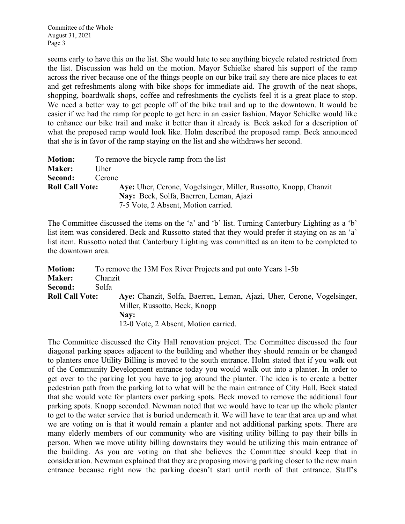seems early to have this on the list. She would hate to see anything bicycle related restricted from the list. Discussion was held on the motion. Mayor Schielke shared his support of the ramp across the river because one of the things people on our bike trail say there are nice places to eat and get refreshments along with bike shops for immediate aid. The growth of the neat shops, shopping, boardwalk shops, coffee and refreshments the cyclists feel it is a great place to stop. We need a better way to get people off of the bike trail and up to the downtown. It would be easier if we had the ramp for people to get here in an easier fashion. Mayor Schielke would like to enhance our bike trail and make it better than it already is. Beck asked for a description of what the proposed ramp would look like. Holm described the proposed ramp. Beck announced that she is in favor of the ramp staying on the list and she withdraws her second.

| <b>Motion:</b>         | To remove the bicycle ramp from the list                         |  |  |
|------------------------|------------------------------------------------------------------|--|--|
| <b>Maker:</b>          | Uher                                                             |  |  |
| Second:                | Cerone                                                           |  |  |
| <b>Roll Call Vote:</b> | Ave: Uher, Cerone, Vogelsinger, Miller, Russotto, Knopp, Chanzit |  |  |
|                        | Nay: Beck, Solfa, Baerren, Leman, Ajazi                          |  |  |
|                        | 7-5 Vote, 2 Absent, Motion carried.                              |  |  |

The Committee discussed the items on the 'a' and 'b' list. Turning Canterbury Lighting as a 'b' list item was considered. Beck and Russotto stated that they would prefer it staying on as an 'a' list item. Russotto noted that Canterbury Lighting was committed as an item to be completed to the downtown area.

| <b>Motion:</b>         | To remove the 13M Fox River Projects and put onto Years 1-5b           |
|------------------------|------------------------------------------------------------------------|
| <b>Maker:</b>          | Chanzit                                                                |
| Second:                | Solfa                                                                  |
| <b>Roll Call Vote:</b> | Aye: Chanzit, Solfa, Baerren, Leman, Ajazi, Uher, Cerone, Vogelsinger, |
|                        | Miller, Russotto, Beck, Knopp                                          |
|                        | Nay:                                                                   |
|                        | 12-0 Vote, 2 Absent, Motion carried.                                   |

The Committee discussed the City Hall renovation project. The Committee discussed the four diagonal parking spaces adjacent to the building and whether they should remain or be changed to planters once Utility Billing is moved to the south entrance. Holm stated that if you walk out of the Community Development entrance today you would walk out into a planter. In order to get over to the parking lot you have to jog around the planter. The idea is to create a better pedestrian path from the parking lot to what will be the main entrance of City Hall. Beck stated that she would vote for planters over parking spots. Beck moved to remove the additional four parking spots. Knopp seconded. Newman noted that we would have to tear up the whole planter to get to the water service that is buried underneath it. We will have to tear that area up and what we are voting on is that it would remain a planter and not additional parking spots. There are many elderly members of our community who are visiting utility billing to pay their bills in person. When we move utility billing downstairs they would be utilizing this main entrance of the building. As you are voting on that she believes the Committee should keep that in consideration. Newman explained that they are proposing moving parking closer to the new main entrance because right now the parking doesn't start until north of that entrance. Staff's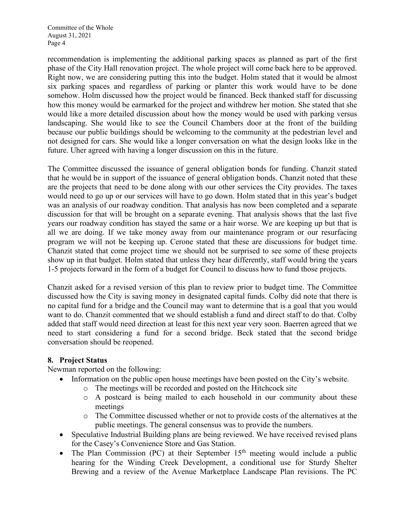Committee of the Whole August 31, 2021 Page 4

recommendation is implementing the additional parking spaces as planned as part of the first phase of the City Hall renovation project. The whole project will come back here to be approved. Right now, we are considering putting this into the budget. Holm stated that it would be almost six parking spaces and regardless of parking or planter this work would have to be done somehow. Holm discussed how the project would be financed. Beck thanked staff for discussing how this money would be earmarked for the project and withdrew her motion. She stated that she would like a more detailed discussion about how the money would be used with parking versus landscaping. She would like to see the Council Chambers door at the front of the building because our public buildings should be welcoming to the community at the pedestrian level and not designed for cars. She would like a longer conversation on what the design looks like in the future. Uher agreed with having a longer discussion on this in the future.

The Committee discussed the issuance of general obligation bonds for funding. Chanzit stated that he would be in support of the issuance of general obligation bonds. Chanzit noted that these are the projects that need to be done along with our other services the City provides. The taxes would need to go up or our services will have to go down. Holm stated that in this year's budget was an analysis of our roadway condition. That analysis has now been completed and a separate discussion for that will be brought on a separate evening. That analysis shows that the last five years our roadway condition has stayed the same or a hair worse. We are keeping up but that is all we are doing. If we take money away from our maintenance program or our resurfacing program we will not be keeping up. Cerone stated that these are discussions for budget time. Chanzit stated that come project time we should not be surprised to see some of these projects show up in that budget. Holm stated that unless they hear differently, staff would bring the years 1-5 projects forward in the form of a budget for Council to discuss how to fund those projects.

Chanzit asked for a revised version of this plan to review prior to budget time. The Committee discussed how the City is saving money in designated capital funds. Colby did note that there is no capital fund for a bridge and the Council may want to determine that is a goal that you would want to do. Chanzit commented that we should establish a fund and direct staff to do that. Colby added that staff would need direction at least for this next year very soon. Baerren agreed that we need to start considering a fund for a second bridge. Beck stated that the second bridge conversation should be reopened.

## **8. Project Status**

Newman reported on the following:

- Information on the public open house meetings have been posted on the City's website.
	- o The meetings will be recorded and posted on the Hitchcock site
	- o A postcard is being mailed to each household in our community about these meetings
	- o The Committee discussed whether or not to provide costs of the alternatives at the public meetings. The general consensus was to provide the numbers.
- Speculative Industrial Building plans are being reviewed. We have received revised plans for the Casey's Convenience Store and Gas Station.
- The Plan Commission (PC) at their September  $15<sup>th</sup>$  meeting would include a public hearing for the Winding Creek Development, a conditional use for Sturdy Shelter Brewing and a review of the Avenue Marketplace Landscape Plan revisions. The PC